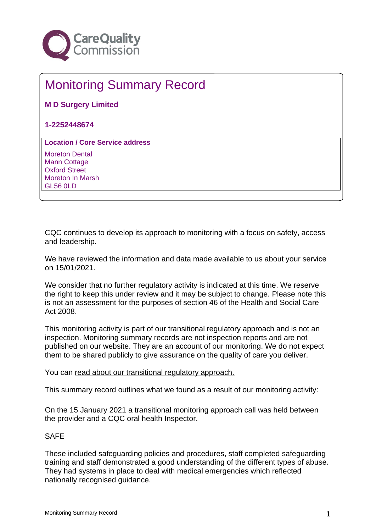

# Monitoring Summary Record

**M D Surgery Limited**

**1-2252448674**

**Location / Core Service address**

Moreton Dental Mann Cottage Oxford Street Moreton In Marsh GL56 0LD

CQC continues to develop its approach to monitoring with a focus on safety, access and leadership.

We have reviewed the information and data made available to us about your service on 15/01/2021.

We consider that no further regulatory activity is indicated at this time. We reserve the right to keep this under review and it may be subject to change. Please note this is not an assessment for the purposes of section 46 of the Health and Social Care Act 2008.

This monitoring activity is part of our transitional regulatory approach and is not an inspection. Monitoring summary records are not inspection reports and are not published on our website. They are an account of our monitoring. We do not expect them to be shared publicly to give assurance on the quality of care you deliver.

You can [read about our transitional regulatory approach.](http://www.cqc.org.uk/TransitionalMonitoringApproach)

This summary record outlines what we found as a result of our monitoring activity:

On the 15 January 2021 a transitional monitoring approach call was held between the provider and a CQC oral health Inspector.

## SAFE

These included safeguarding policies and procedures, staff completed safeguarding training and staff demonstrated a good understanding of the different types of abuse. They had systems in place to deal with medical emergencies which reflected nationally recognised guidance.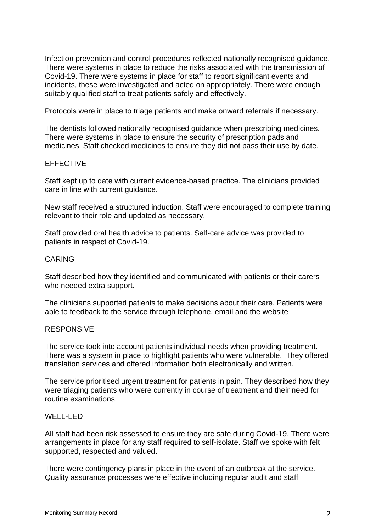Infection prevention and control procedures reflected nationally recognised guidance. There were systems in place to reduce the risks associated with the transmission of Covid-19. There were systems in place for staff to report significant events and incidents, these were investigated and acted on appropriately. There were enough suitably qualified staff to treat patients safely and effectively.

Protocols were in place to triage patients and make onward referrals if necessary.

The dentists followed nationally recognised guidance when prescribing medicines. There were systems in place to ensure the security of prescription pads and medicines. Staff checked medicines to ensure they did not pass their use by date.

## EFFECTIVE

Staff kept up to date with current evidence-based practice. The clinicians provided care in line with current guidance.

New staff received a structured induction. Staff were encouraged to complete training relevant to their role and updated as necessary.

Staff provided oral health advice to patients. Self-care advice was provided to patients in respect of Covid-19.

## CARING

Staff described how they identified and communicated with patients or their carers who needed extra support.

The clinicians supported patients to make decisions about their care. Patients were able to feedback to the service through telephone, email and the website

#### **RESPONSIVE**

The service took into account patients individual needs when providing treatment. There was a system in place to highlight patients who were vulnerable. They offered translation services and offered information both electronically and written.

The service prioritised urgent treatment for patients in pain. They described how they were triaging patients who were currently in course of treatment and their need for routine examinations.

#### WELL-LED

All staff had been risk assessed to ensure they are safe during Covid-19. There were arrangements in place for any staff required to self-isolate. Staff we spoke with felt supported, respected and valued.

There were contingency plans in place in the event of an outbreak at the service. Quality assurance processes were effective including regular audit and staff